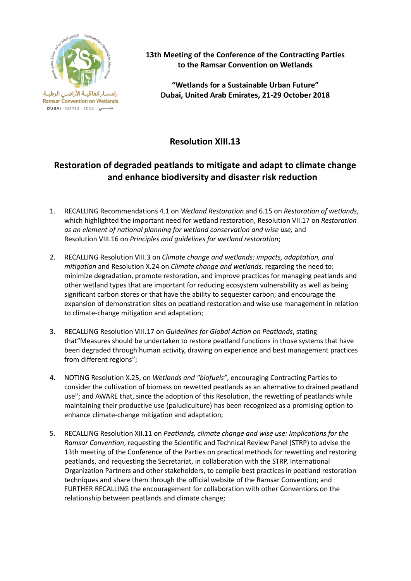

**13th Meeting of the Conference of the Contracting Parties to the Ramsar Convention on Wetlands**

**"Wetlands for a Sustainable Urban Future" Dubai, United Arab Emirates, 21-29 October 2018**

## **Resolution XIII.13**

## **Restoration of degraded peatlands to mitigate and adapt to climate change and enhance biodiversity and disaster risk reduction**

- 1. RECALLING Recommendations 4.1 on *Wetland Restoration* and 6.15 on *Restoration of wetlands*, which highlighted the important need for wetland restoration, [Resolution VII.17 on](http://www.ramsar.org/document/resolution-vii17-restoration-as-an-element-of-national-planning-for-wetland-conservation) *Restoration [as an element of national planning for wetland conservation and wise use,](http://www.ramsar.org/document/resolution-vii17-restoration-as-an-element-of-national-planning-for-wetland-conservation)* and Resolution VIII.16 on *[Principles and guidelines for wetland restoration](http://www.ramsar.org/document/resolution-viii16-principles-and-guidelines-for-wetland-restoration)*;
- 2. RECALLING Resolution VIII.3 on *Climate change and wetlands: impacts, adaptation, and mitigation* and Resolution X.24 on *Climate change and wetlands*, regarding the need to: minimize degradation, promote restoration, and improve practices for managing peatlands and other wetland types that are important for reducing ecosystem vulnerability as well as being significant carbon stores or that have the ability to sequester carbon; and encourage the expansion of demonstration sites on peatland restoration and wise use management in relation to climate-change mitigation and adaptation;
- 3. RECALLING Resolution VIII.17 on *Guidelines for Global Action on Peatlands*, stating that"Measures should be undertaken to restore peatland functions in those systems that have been degraded through human activity, drawing on experience and best management practices from different regions";
- 4. NOTING Resolution X.25, on *Wetlands and "biofuels"*, encouraging Contracting Parties to consider the cultivation of biomass on rewetted peatlands as an alternative to drained peatland use"; and AWARE that, since the adoption of this Resolution, the rewetting of peatlands while maintaining their productive use (paludiculture) has been recognized as a promising option to enhance climate-change mitigation and adaptation;
- 5. RECALLING Resolution XII.11 on *Peatlands, climate change and wise use: Implications for the Ramsar Convention*, requesting the Scientific and Technical Review Panel (STRP) to advise the 13th meeting of the Conference of the Parties on practical methods for rewetting and restoring peatlands, and requesting the Secretariat, in collaboration with the STRP, International Organization Partners and other stakeholders, to compile best practices in peatland restoration techniques and share them through the official website of the Ramsar Convention; and FURTHER RECALLING the encouragement for collaboration with other Conventions on the relationship between peatlands and climate change;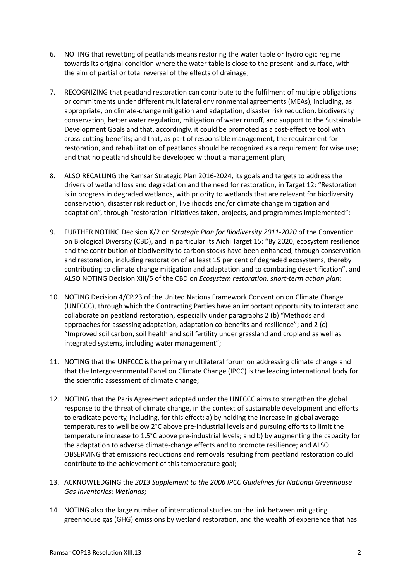- 6. NOTING that rewetting of peatlands means restoring the water table or hydrologic regime towards its original condition where the water table is close to the present land surface, with the aim of partial or total reversal of the effects of drainage;
- 7. RECOGNIZING that peatland restoration can contribute to the fulfilment of multiple obligations or commitments under different multilateral environmental agreements (MEAs), including, as appropriate, on climate-change mitigation and adaptation, disaster risk reduction, biodiversity conservation, better water regulation, mitigation of water runoff, and support to the Sustainable Development Goals and that, accordingly, it could be promoted as a cost-effective tool with cross-cutting benefits; and that, as part of responsible management, the requirement for restoration, and rehabilitation of peatlands should be recognized as a requirement for wise use; and that no peatland should be developed without a management plan;
- 8. ALSO RECALLING the Ramsar Strategic Plan 2016-2024, its goals and targets to address the drivers of wetland loss and degradation and the need for restoration, in Target 12: "Restoration is in progress in degraded wetlands, with priority to wetlands that are relevant for biodiversity conservation, disaster risk reduction, livelihoods and/or climate change mitigation and adaptation", through "restoration initiatives taken, projects, and programmes implemented";
- 9. FURTHER NOTING Decision X/2 on *Strategic Plan for Biodiversity 2011-2020* of the Convention on Biological Diversity (CBD), and in particular its Aichi Target 15: "By 2020, ecosystem resilience and the contribution of biodiversity to carbon stocks have been enhanced, through conservation and restoration, including restoration of at least 15 per cent of degraded ecosystems, thereby contributing to climate change mitigation and adaptation and to combating desertification", and ALSO NOTING Decision XIII/5 of the CBD on *Ecosystem restoration: short-term action plan*;
- 10. NOTING Decision 4/CP.23 of the United Nations Framework Convention on Climate Change (UNFCCC), through which the Contracting Parties have an important opportunity to interact and collaborate on peatland restoration, especially under paragraphs 2 (b) "Methods and approaches for assessing adaptation, adaptation co-benefits and resilience"; and 2 (c) "Improved soil carbon, soil health and soil fertility under grassland and cropland as well as integrated systems, including water management";
- 11. NOTING that the UNFCCC is the primary multilateral forum on addressing climate change and that the Intergovernmental Panel on Climate Change (IPCC) is the leading international body for the scientific assessment of climate change;
- 12. NOTING that the Paris Agreement adopted under the UNFCCC aims to strengthen the global response to the threat of climate change, in the context of sustainable development and efforts to eradicate poverty, including, for this effect: a) by holding the increase in global average temperatures to well below 2°C above pre-industrial levels and pursuing efforts to limit the temperature increase to 1.5°C above pre-industrial levels; and b) by augmenting the capacity for the adaptation to adverse climate-change effects and to promote resilience; and ALSO OBSERVING that emissions reductions and removals resulting from peatland restoration could contribute to the achievement of this temperature goal;
- 13. ACKNOWLEDGING the *2013 Supplement to the 2006 IPCC Guidelines for National Greenhouse Gas Inventories: Wetlands*;
- 14. NOTING also the large number of international studies on the link between mitigating greenhouse gas (GHG) emissions by wetland restoration, and the wealth of experience that has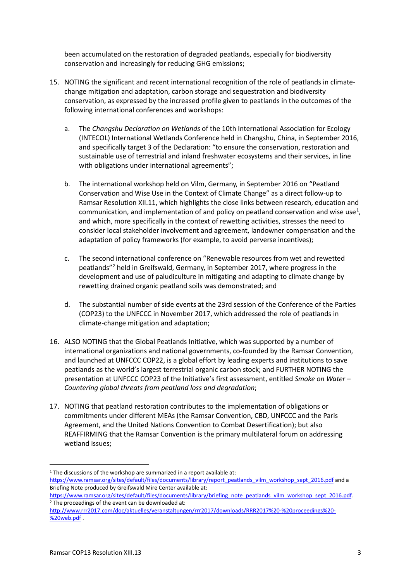been accumulated on the restoration of degraded peatlands, especially for biodiversity conservation and increasingly for reducing GHG emissions;

- 15. NOTING the significant and recent international recognition of the role of peatlands in climatechange mitigation and adaptation, carbon storage and sequestration and biodiversity conservation, as expressed by the increased profile given to peatlands in the outcomes of the following international conferences and workshops:
	- a. The *Changshu Declaration on Wetlands* of the 10th International Association for Ecology (INTECOL) International Wetlands Conference held in Changshu, China, in September 2016, and specifically target 3 of the Declaration: "to ensure the conservation, restoration and sustainable use of terrestrial and inland freshwater ecosystems and their services, in line with obligations under international agreements";
	- b. The international workshop held on Vilm, Germany, in September 2016 on "Peatland Conservation and Wise Use in the Context of Climate Change" as a direct follow-up to Ramsar Resolution XII.11, which highlights the close links between research, education and communication, and implementation of and policy on peatland conservation and wise use<sup>[1](#page-2-0)</sup>, and which, more specifically in the context of rewetting activities, stresses the need to consider local stakeholder involvement and agreement, landowner compensation and the adaptation of policy frameworks (for example, to avoid perverse incentives);
	- c. The second international conference on "Renewable resources from wet and rewetted peatlands"[2](#page-2-1) held in Greifswald, Germany, in September 2017, where progress in the development and use of paludiculture in mitigating and adapting to climate change by rewetting drained organic peatland soils was demonstrated; and
	- d. The substantial number of side events at the 23rd session of the Conference of the Parties (COP23) to the UNFCCC in November 2017, which addressed the role of peatlands in climate-change mitigation and adaptation;
- 16. ALSO NOTING that the Global Peatlands Initiative, which was supported by a number of international organizations and national governments, co-founded by the Ramsar Convention, and launched at UNFCCC COP22, is a global effort by leading experts and institutions to save peatlands as the world's largest terrestrial organic carbon stock; and FURTHER NOTING the presentation at UNFCCC COP23 of the Initiative's first assessment, entitled *Smoke on Water – Countering global threats from peatland loss and degradation*;
- 17. NOTING that peatland restoration contributes to the implementation of obligations or commitments under different MEAs (the Ramsar Convention, CBD, UNFCCC and the Paris Agreement, and the United Nations Convention to Combat Desertification); but also REAFFIRMING that the Ramsar Convention is the primary multilateral forum on addressing wetland issues;

<u>.</u>

<span id="page-2-0"></span> $1$  The discussions of the workshop are summarized in a report available at: [https://www.ramsar.org/sites/default/files/documents/library/report\\_peatlands\\_vilm\\_workshop\\_sept\\_2016.pdf](https://www.ramsar.org/sites/default/files/documents/library/report_peatlands_vilm_workshop_sept_2016.pdf) and a Briefing Note produced by Greifswald Mire Center available at:

[https://www.ramsar.org/sites/default/files/documents/library/briefing\\_note\\_peatlands\\_vilm\\_workshop\\_sept\\_2016.pdf.](https://www.ramsar.org/sites/default/files/documents/library/briefing_note_peatlands_vilm_workshop_sept_2016.pdf) <sup>2</sup> The proceedings of the event can be downloaded at:

<span id="page-2-1"></span>[http://www.rrr2017.com/doc/aktuelles/veranstaltungen/rrr2017/downloads/RRR2017%20-%20proceedings%20-](http://www.rrr2017.com/doc/aktuelles/veranstaltungen/rrr2017/downloads/RRR2017%20-%20proceedings%20-%20web.pdf) [%20web.pdf](http://www.rrr2017.com/doc/aktuelles/veranstaltungen/rrr2017/downloads/RRR2017%20-%20proceedings%20-%20web.pdf) .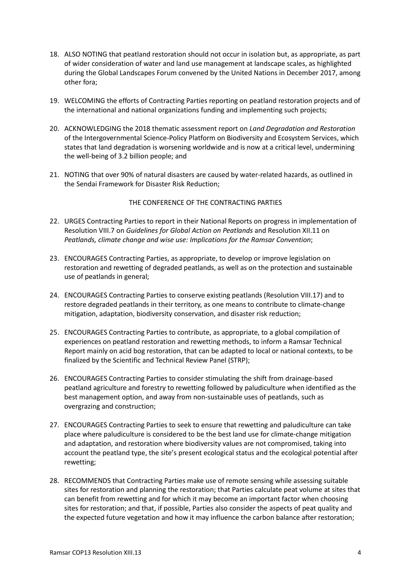- 18. ALSO NOTING that peatland restoration should not occur in isolation but, as appropriate, as part of wider consideration of water and land use management at landscape scales, as highlighted during the Global Landscapes Forum convened by the United Nations in December 2017, among other fora;
- 19. WELCOMING the efforts of Contracting Parties reporting on peatland restoration projects and of the international and national organizations funding and implementing such projects;
- 20. ACKNOWLEDGING the 2018 thematic assessment report on *Land Degradation and Restoration* of the Intergovernmental Science-Policy Platform on Biodiversity and Ecosystem Services, which states that land degradation is worsening worldwide and is now at a critical level, undermining the well-being of 3.2 billion people; and
- 21. NOTING that over 90% of natural disasters are caused by water-related hazards, as outlined in the Sendai Framework for Disaster Risk Reduction;

## THE CONFERENCE OF THE CONTRACTING PARTIES

- 22. URGES Contracting Parties to report in their National Reports on progress in implementation of Resolution VIII.7 on *Guidelines for Global Action on Peatlands* and Resolution XII.11 on *Peatlands, climate change and wise use: Implications for the Ramsar Convention*;
- 23. ENCOURAGES Contracting Parties, as appropriate, to develop or improve legislation on restoration and rewetting of degraded peatlands, as well as on the protection and sustainable use of peatlands in general;
- 24. ENCOURAGES Contracting Parties to conserve existing peatlands (Resolution VIII.17) and to restore degraded peatlands in their territory, as one means to contribute to climate-change mitigation, adaptation, biodiversity conservation, and disaster risk reduction;
- 25. ENCOURAGES Contracting Parties to contribute, as appropriate, to a global compilation of experiences on peatland restoration and rewetting methods, to inform a Ramsar Technical Report mainly on acid bog restoration, that can be adapted to local or national contexts, to be finalized by the Scientific and Technical Review Panel (STRP);
- 26. ENCOURAGES Contracting Parties to consider stimulating the shift from drainage-based peatland agriculture and forestry to rewetting followed by paludiculture when identified as the best management option, and away from non-sustainable uses of peatlands, such as overgrazing and construction;
- 27. ENCOURAGES Contracting Parties to seek to ensure that rewetting and paludiculture can take place where paludiculture is considered to be the best land use for climate-change mitigation and adaptation, and restoration where biodiversity values are not compromised, taking into account the peatland type, the site's present ecological status and the ecological potential after rewetting;
- 28. RECOMMENDS that Contracting Parties make use of remote sensing while assessing suitable sites for restoration and planning the restoration; that Parties calculate peat volume at sites that can benefit from rewetting and for which it may become an important factor when choosing sites for restoration; and that, if possible, Parties also consider the aspects of peat quality and the expected future vegetation and how it may influence the carbon balance after restoration;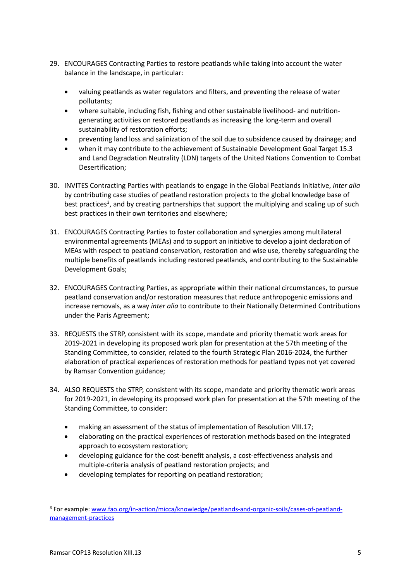- 29. ENCOURAGES Contracting Parties to restore peatlands while taking into account the water balance in the landscape, in particular:
	- valuing peatlands as water regulators and filters, and preventing the release of water pollutants;
	- where suitable, including fish, fishing and other sustainable livelihood- and nutritiongenerating activities on restored peatlands as increasing the long-term and overall sustainability of restoration efforts;
	- preventing land loss and salinization of the soil due to subsidence caused by drainage; and
	- when it may contribute to the achievement of Sustainable Development Goal Target 15.3 and Land Degradation Neutrality (LDN) targets of the United Nations Convention to Combat Desertification;
- 30. INVITES Contracting Parties with peatlands to engage in the Global Peatlands Initiative, *inter alia* by contributing case studies of peatland restoration projects to the global knowledge base of best practices<sup>[3](#page-4-0)</sup>, and by creating partnerships that support the multiplying and scaling up of such best practices in their own territories and elsewhere;
- 31. ENCOURAGES Contracting Parties to foster collaboration and synergies among multilateral environmental agreements (MEAs) and to support an initiative to develop a joint declaration of MEAs with respect to peatland conservation, restoration and wise use, thereby safeguarding the multiple benefits of peatlands including restored peatlands, and contributing to the Sustainable Development Goals;
- 32. ENCOURAGES Contracting Parties, as appropriate within their national circumstances, to pursue peatland conservation and/or restoration measures that reduce anthropogenic emissions and increase removals, as a way *inter alia* to contribute to their Nationally Determined Contributions under the Paris Agreement;
- 33. REQUESTS the STRP, consistent with its scope, mandate and priority thematic work areas for 2019-2021 in developing its proposed work plan for presentation at the 57th meeting of the Standing Committee, to consider, related to the fourth Strategic Plan 2016-2024, the further elaboration of practical experiences of restoration methods for peatland types not yet covered by Ramsar Convention guidance;
- 34. ALSO REQUESTS the STRP, consistent with its scope, mandate and priority thematic work areas for 2019-2021, in developing its proposed work plan for presentation at the 57th meeting of the Standing Committee, to consider:
	- making an assessment of the status of implementation of Resolution VIII.17;
	- elaborating on the practical experiences of restoration methods based on the integrated approach to ecosystem restoration;
	- developing guidance for the cost-benefit analysis, a cost-effectiveness analysis and multiple-criteria analysis of peatland restoration projects; and
	- developing templates for reporting on peatland restoration;

<u>.</u>

<span id="page-4-0"></span><sup>3</sup> For example[: www.fao.org/in-action/micca/knowledge/peatlands-and-organic-soils/cases-of-peatland](http://www.fao.org/in-action/micca/knowledge/peatlands-and-organic-soils/cases-of-peatland-management-practices/)[management-practices](http://www.fao.org/in-action/micca/knowledge/peatlands-and-organic-soils/cases-of-peatland-management-practices/)